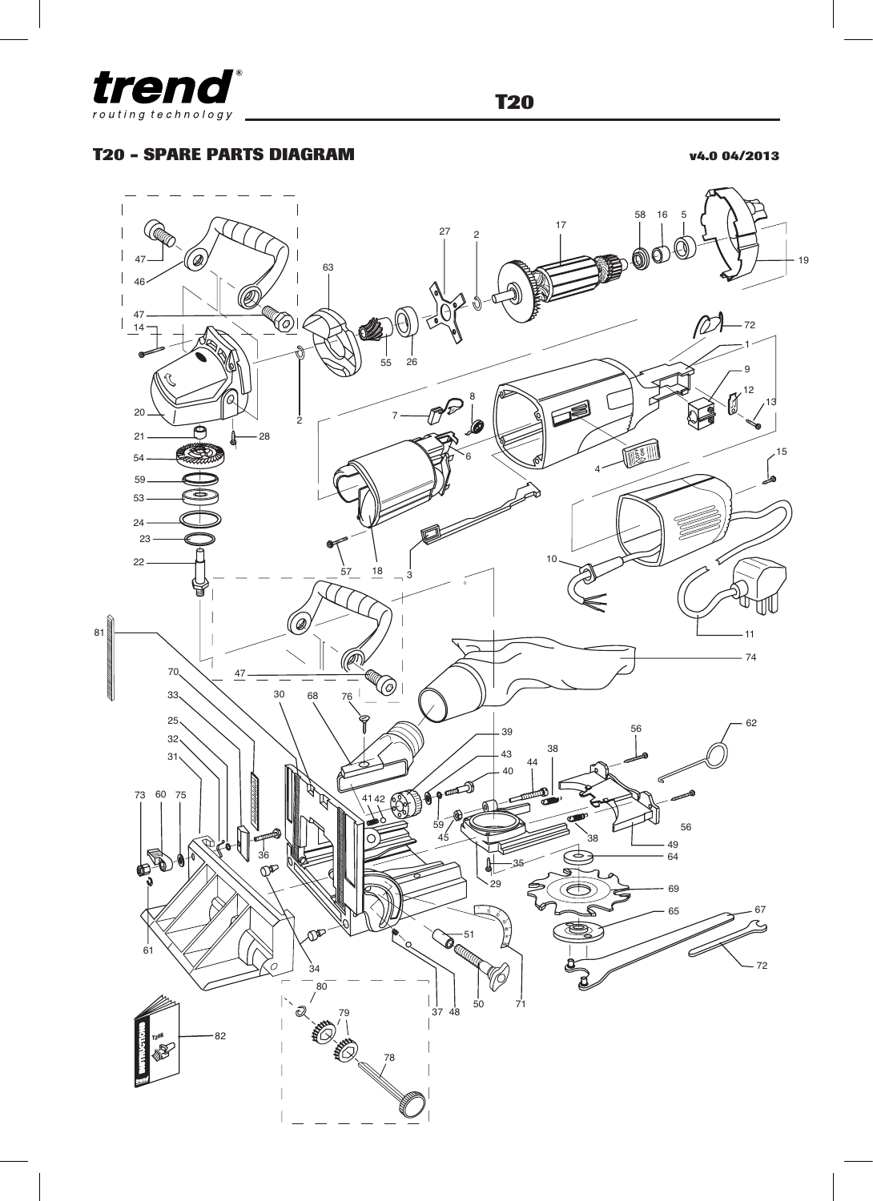

## **T20 - SPARE PARTS DIAGRAM v4.0 04/2013**

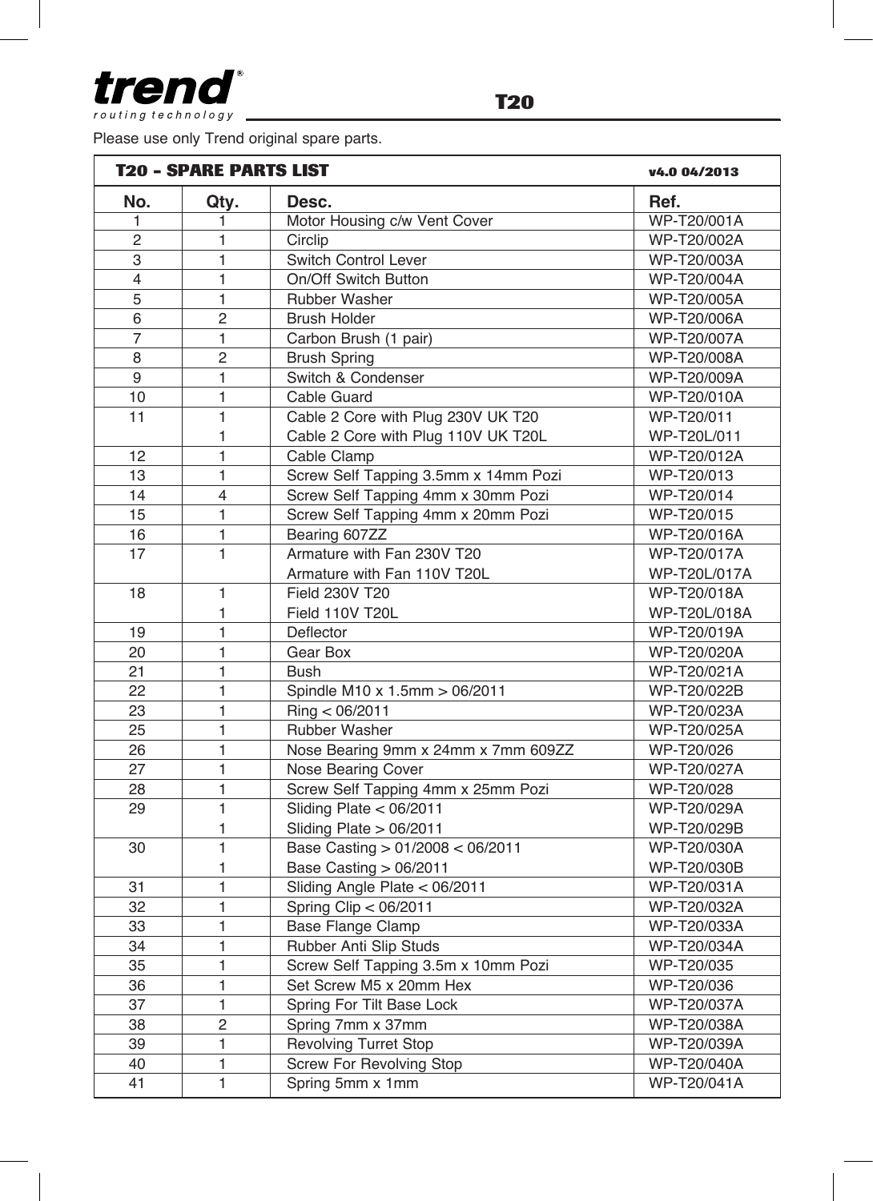treno routing technology

Please use only Trend o

| ase use only Trend original spare parts. |                               |                              |              |  |  |  |
|------------------------------------------|-------------------------------|------------------------------|--------------|--|--|--|
|                                          | <b>T20 - SPARE PARTS LIST</b> | v4.0 04/2013                 |              |  |  |  |
| No.                                      | Qty.                          | Desc.                        | Ref.         |  |  |  |
|                                          |                               | Motor Housing c/w Vent Cover | WP-T20/001A  |  |  |  |
| 2                                        |                               | Circlip                      | WP-T20/002A  |  |  |  |
| 3                                        |                               | <b>Switch Control Lever</b>  | WP-T20/003A  |  |  |  |
| 4                                        |                               | On/Off Switch Button         | WP-T20/004A  |  |  |  |
| 5                                        |                               | Rubber Washer                | WP-T20/005A  |  |  |  |
| 6                                        | 2                             | <b>Brush Holder</b>          | WP-T20/006A  |  |  |  |
| 7                                        |                               | Carbon Brush (1 pair)        | WP-T20/007A  |  |  |  |
| 8                                        | 2                             | <b>Brush Spring</b>          | WP-T20/008A  |  |  |  |
| 9                                        |                               | Switch & Condenser           | WP-T20/009A  |  |  |  |
| $\overline{ }$                           |                               | $Cab$ $Ctotal$               | MID T00/010A |  |  |  |

| $\overline{4}$ | 1              | On/Off Switch Button                 | WP-T20/004A  |
|----------------|----------------|--------------------------------------|--------------|
| 5              | $\mathbf{1}$   | <b>Rubber Washer</b>                 | WP-T20/005A  |
| 6              | $\overline{2}$ | <b>Brush Holder</b>                  | WP-T20/006A  |
| $\overline{7}$ | $\mathbf{1}$   | Carbon Brush (1 pair)                | WP-T20/007A  |
| 8              | $\overline{2}$ | <b>Brush Spring</b>                  | WP-T20/008A  |
| 9              | $\mathbf{1}$   | Switch & Condenser                   | WP-T20/009A  |
| $10$           | 1              | Cable Guard                          | WP-T20/010A  |
| 11             | $\mathbf{1}$   | Cable 2 Core with Plug 230V UK T20   | WP-T20/011   |
|                | $\mathbf{1}$   | Cable 2 Core with Plug 110V UK T20L  | WP-T20L/011  |
| 12             | $\mathbf{1}$   | Cable Clamp                          | WP-T20/012A  |
| 13             | $\mathbf{1}$   | Screw Self Tapping 3.5mm x 14mm Pozi | WP-T20/013   |
| 14             | $\overline{4}$ | Screw Self Tapping 4mm x 30mm Pozi   | WP-T20/014   |
| 15             | $\mathbf{1}$   | Screw Self Tapping 4mm x 20mm Pozi   | WP-T20/015   |
| 16             | $\mathbf{1}$   | Bearing 607ZZ                        | WP-T20/016A  |
| 17             | $\mathbf{1}$   | Armature with Fan 230V T20           | WP-T20/017A  |
|                |                | Armature with Fan 110V T20L          | WP-T20L/017A |
| 18             | 1              | Field 230V T20                       | WP-T20/018A  |
|                | $\mathbf{1}$   | Field 110V T20L                      | WP-T20L/018A |
| 19             | $\mathbf{1}$   | Deflector                            | WP-T20/019A  |
| 20             | $\mathbf{1}$   | Gear Box                             | WP-T20/020A  |
| 21             | $\mathbf{1}$   | Bush                                 | WP-T20/021A  |
| 22             | 1              | Spindle M10 x 1.5mm > 06/2011        | WP-T20/022B  |
| 23             | $\mathbf{1}$   | Ring < 06/2011                       | WP-T20/023A  |
| 25             | $\mathbf{1}$   | Rubber Washer                        | WP-T20/025A  |
| 26             | $\mathbf{1}$   | Nose Bearing 9mm x 24mm x 7mm 609ZZ  | WP-T20/026   |
| 27             | $\mathbf{1}$   | Nose Bearing Cover                   | WP-T20/027A  |
| 28             | $\mathbf{1}$   | Screw Self Tapping 4mm x 25mm Pozi   | WP-T20/028   |
| 29             | $\mathbf{1}$   | Sliding Plate $<$ 06/2011            | WP-T20/029A  |
|                | 1              | Sliding Plate $> 06/2011$            | WP-T20/029B  |
| 30             | $\mathbf{1}$   | Base Casting > 01/2008 < 06/2011     | WP-T20/030A  |
|                | 1              | Base Casting > 06/2011               | WP-T20/030B  |
| 31             | $\mathbf{1}$   | Sliding Angle Plate < 06/2011        | WP-T20/031A  |
| 32             | $\mathbf{1}$   | Spring Clip < 06/2011                | WP-T20/032A  |
| 33             | $\mathbf{1}$   | Base Flange Clamp                    | WP-T20/033A  |
| 34             | $\mathbf{1}$   | Rubber Anti Slip Studs               | WP-T20/034A  |
| 35             | $\mathbf{1}$   | Screw Self Tapping 3.5m x 10mm Pozi  | WP-T20/035   |
| 36             | $\mathbf{1}$   | Set Screw M5 x 20mm Hex              | WP-T20/036   |
| 37             | $\mathbf{1}$   | Spring For Tilt Base Lock            | WP-T20/037A  |
| 38             | $\overline{2}$ | Spring 7mm x 37mm                    | WP-T20/038A  |
| 39             | 1              | Revolving Turret Stop                | WP-T20/039A  |
| 40             | $\mathbf{1}$   | Screw For Revolving Stop             | WP-T20/040A  |
| 41             | $\mathbf{1}$   | Spring 5mm x 1mm                     | WP-T20/041A  |